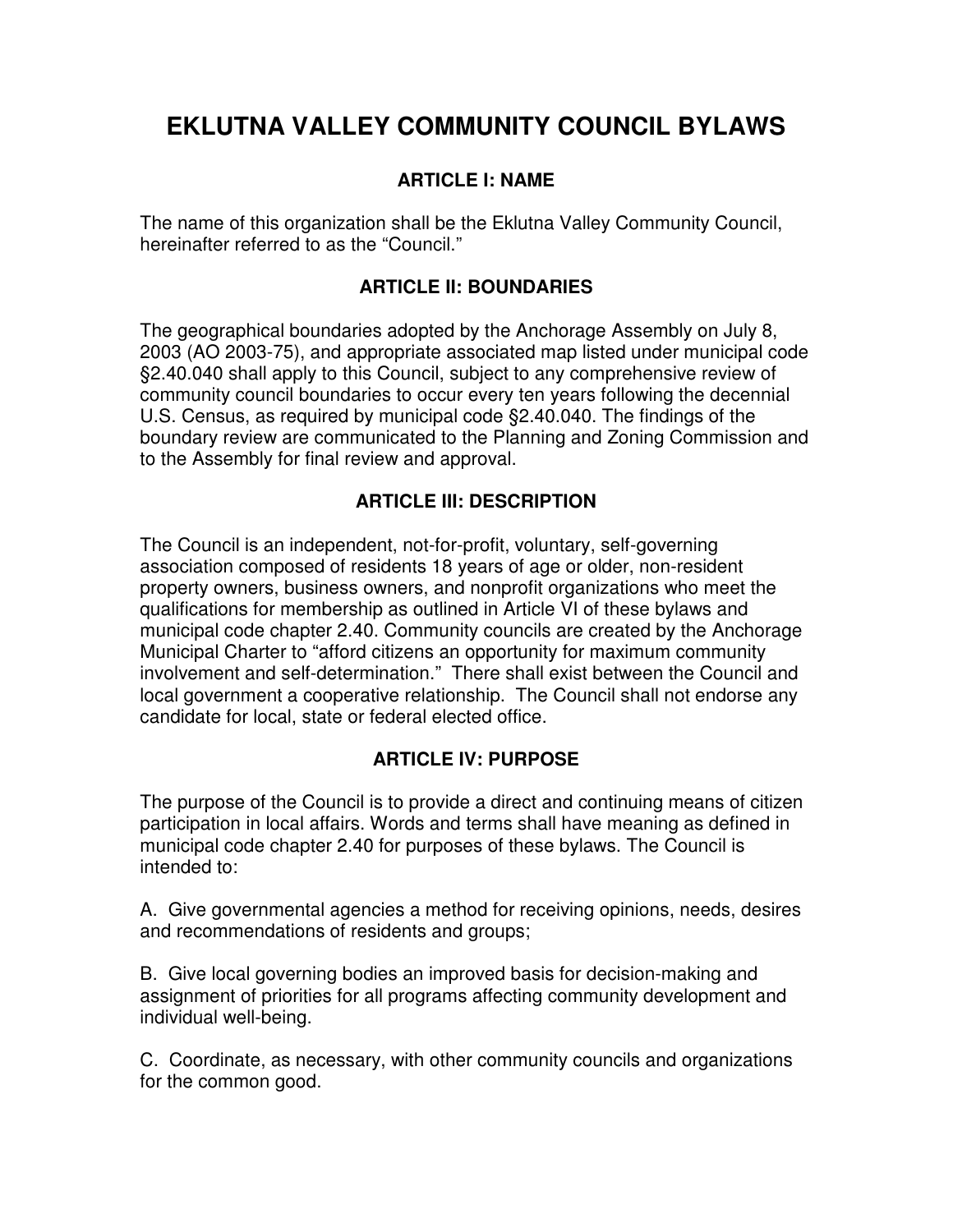# **EKLUTNA VALLEY COMMUNITY COUNCIL BYLAWS**

## **ARTICLE I: NAME**

The name of this organization shall be the Eklutna Valley Community Council, hereinafter referred to as the "Council."

## **ARTICLE II: BOUNDARIES**

The geographical boundaries adopted by the Anchorage Assembly on July 8, 2003 (AO 2003-75), and appropriate associated map listed under municipal code §2.40.040 shall apply to this Council, subject to any comprehensive review of community council boundaries to occur every ten years following the decennial U.S. Census, as required by municipal code §2.40.040. The findings of the boundary review are communicated to the Planning and Zoning Commission and to the Assembly for final review and approval.

## **ARTICLE III: DESCRIPTION**

The Council is an independent, not-for-profit, voluntary, self-governing association composed of residents 18 years of age or older, non-resident property owners, business owners, and nonprofit organizations who meet the qualifications for membership as outlined in Article VI of these bylaws and municipal code chapter 2.40. Community councils are created by the Anchorage Municipal Charter to "afford citizens an opportunity for maximum community involvement and self-determination." There shall exist between the Council and local government a cooperative relationship. The Council shall not endorse any candidate for local, state or federal elected office.

## **ARTICLE IV: PURPOSE**

The purpose of the Council is to provide a direct and continuing means of citizen participation in local affairs. Words and terms shall have meaning as defined in municipal code chapter 2.40 for purposes of these bylaws. The Council is intended to:

A. Give governmental agencies a method for receiving opinions, needs, desires and recommendations of residents and groups;

B. Give local governing bodies an improved basis for decision-making and assignment of priorities for all programs affecting community development and individual well-being.

C. Coordinate, as necessary, with other community councils and organizations for the common good.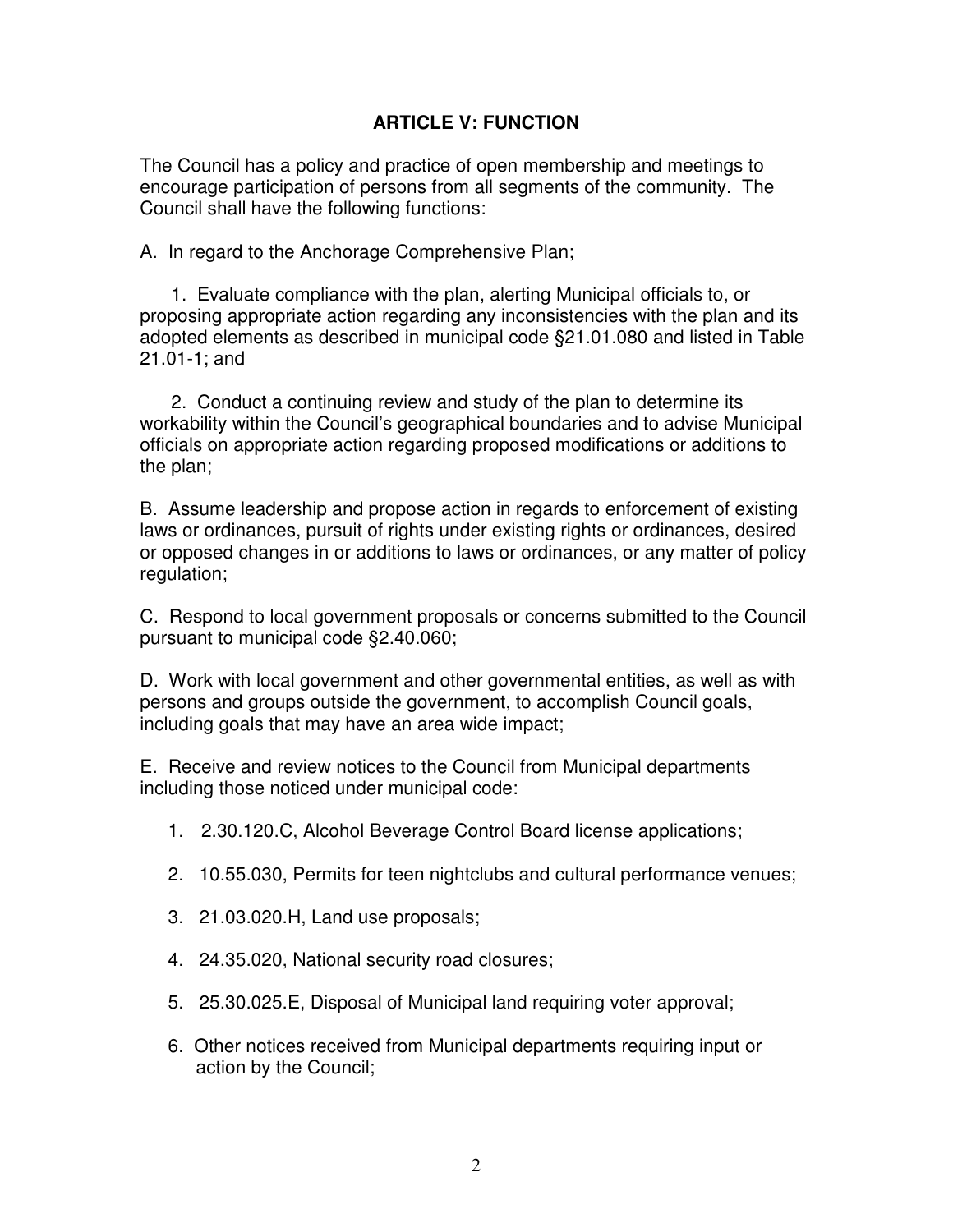## **ARTICLE V: FUNCTION**

The Council has a policy and practice of open membership and meetings to encourage participation of persons from all segments of the community. The Council shall have the following functions:

A. In regard to the Anchorage Comprehensive Plan;

 1. Evaluate compliance with the plan, alerting Municipal officials to, or proposing appropriate action regarding any inconsistencies with the plan and its adopted elements as described in municipal code §21.01.080 and listed in Table 21.01-1; and

 2. Conduct a continuing review and study of the plan to determine its workability within the Council's geographical boundaries and to advise Municipal officials on appropriate action regarding proposed modifications or additions to the plan;

B. Assume leadership and propose action in regards to enforcement of existing laws or ordinances, pursuit of rights under existing rights or ordinances, desired or opposed changes in or additions to laws or ordinances, or any matter of policy regulation;

C. Respond to local government proposals or concerns submitted to the Council pursuant to municipal code §2.40.060;

D. Work with local government and other governmental entities, as well as with persons and groups outside the government, to accomplish Council goals, including goals that may have an area wide impact;

E. Receive and review notices to the Council from Municipal departments including those noticed under municipal code:

- 1. 2.30.120.C, Alcohol Beverage Control Board license applications;
- 2. 10.55.030, Permits for teen nightclubs and cultural performance venues;
- 3. 21.03.020.H, Land use proposals;
- 4. 24.35.020, National security road closures;
- 5. 25.30.025.E, Disposal of Municipal land requiring voter approval;
- 6. Other notices received from Municipal departments requiring input or action by the Council;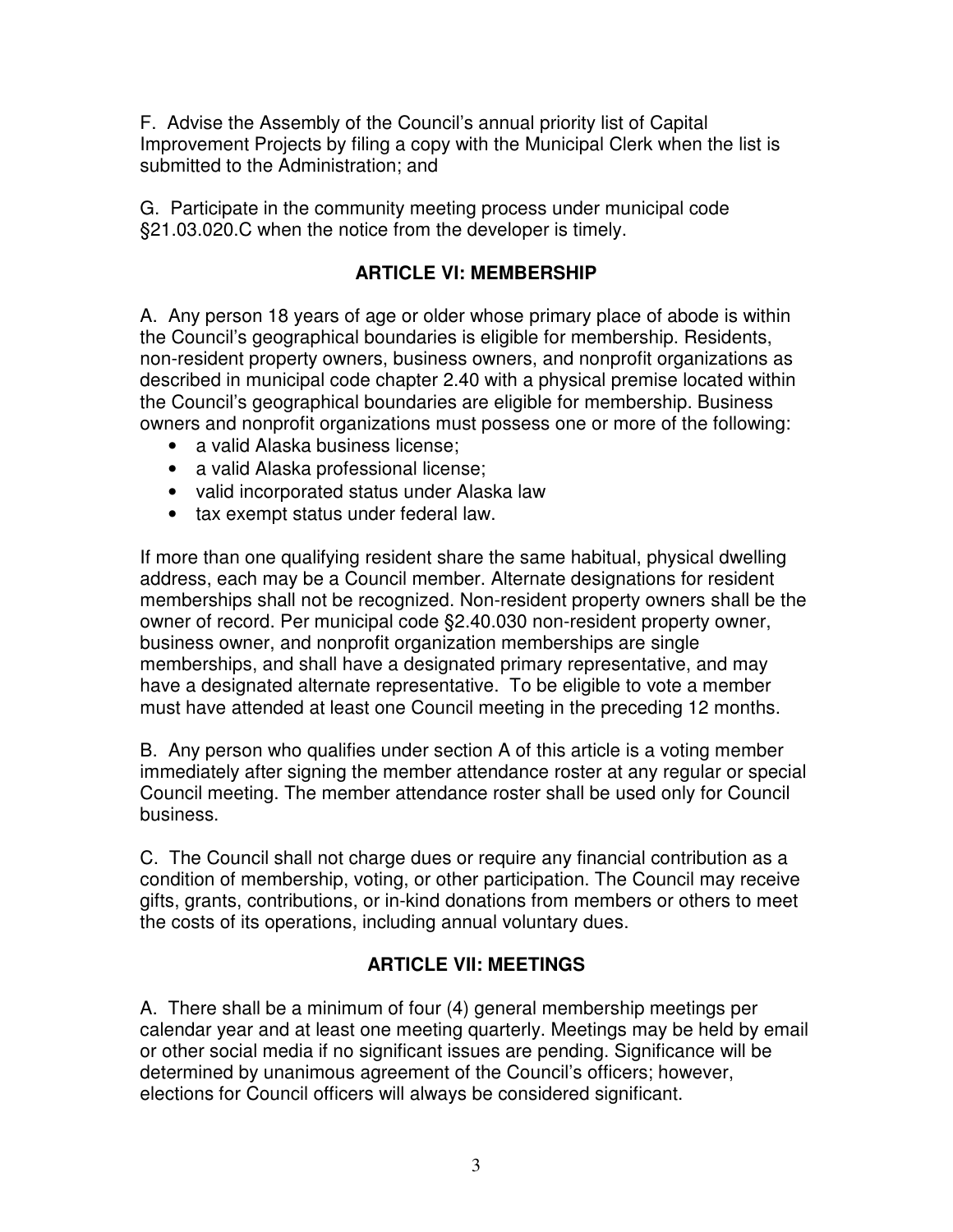F. Advise the Assembly of the Council's annual priority list of Capital Improvement Projects by filing a copy with the Municipal Clerk when the list is submitted to the Administration; and

G. Participate in the community meeting process under municipal code §21.03.020.C when the notice from the developer is timely.

## **ARTICLE VI: MEMBERSHIP**

A. Any person 18 years of age or older whose primary place of abode is within the Council's geographical boundaries is eligible for membership. Residents, non-resident property owners, business owners, and nonprofit organizations as described in municipal code chapter 2.40 with a physical premise located within the Council's geographical boundaries are eligible for membership. Business owners and nonprofit organizations must possess one or more of the following:

- a valid Alaska business license:
- a valid Alaska professional license;
- valid incorporated status under Alaska law
- tax exempt status under federal law.

If more than one qualifying resident share the same habitual, physical dwelling address, each may be a Council member. Alternate designations for resident memberships shall not be recognized. Non-resident property owners shall be the owner of record. Per municipal code §2.40.030 non-resident property owner, business owner, and nonprofit organization memberships are single memberships, and shall have a designated primary representative, and may have a designated alternate representative. To be eligible to vote a member must have attended at least one Council meeting in the preceding 12 months.

B. Any person who qualifies under section A of this article is a voting member immediately after signing the member attendance roster at any regular or special Council meeting. The member attendance roster shall be used only for Council business.

C. The Council shall not charge dues or require any financial contribution as a condition of membership, voting, or other participation. The Council may receive gifts, grants, contributions, or in-kind donations from members or others to meet the costs of its operations, including annual voluntary dues.

# **ARTICLE VII: MEETINGS**

A. There shall be a minimum of four (4) general membership meetings per calendar year and at least one meeting quarterly. Meetings may be held by email or other social media if no significant issues are pending. Significance will be determined by unanimous agreement of the Council's officers; however, elections for Council officers will always be considered significant.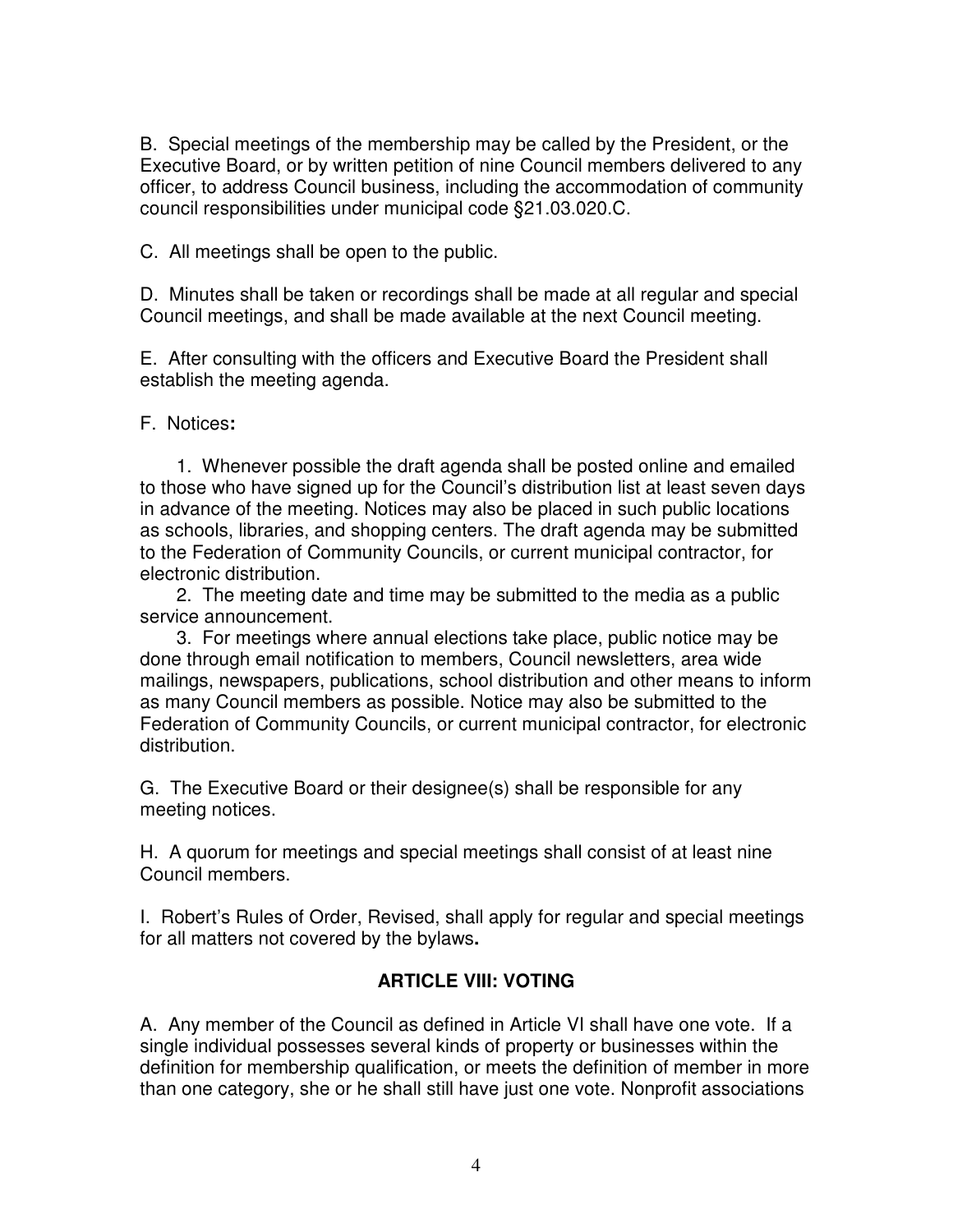B. Special meetings of the membership may be called by the President, or the Executive Board, or by written petition of nine Council members delivered to any officer, to address Council business, including the accommodation of community council responsibilities under municipal code §21.03.020.C.

C. All meetings shall be open to the public.

D. Minutes shall be taken or recordings shall be made at all regular and special Council meetings, and shall be made available at the next Council meeting.

E. After consulting with the officers and Executive Board the President shall establish the meeting agenda.

F. Notices**:**

 1. Whenever possible the draft agenda shall be posted online and emailed to those who have signed up for the Council's distribution list at least seven days in advance of the meeting. Notices may also be placed in such public locations as schools, libraries, and shopping centers. The draft agenda may be submitted to the Federation of Community Councils, or current municipal contractor, for electronic distribution.

 2. The meeting date and time may be submitted to the media as a public service announcement.

 3. For meetings where annual elections take place, public notice may be done through email notification to members, Council newsletters, area wide mailings, newspapers, publications, school distribution and other means to inform as many Council members as possible. Notice may also be submitted to the Federation of Community Councils, or current municipal contractor, for electronic distribution.

G. The Executive Board or their designee(s) shall be responsible for any meeting notices.

H. A quorum for meetings and special meetings shall consist of at least nine Council members.

I. Robert's Rules of Order, Revised, shall apply for regular and special meetings for all matters not covered by the bylaws**.** 

# **ARTICLE VIII: VOTING**

A. Any member of the Council as defined in Article VI shall have one vote. If a single individual possesses several kinds of property or businesses within the definition for membership qualification, or meets the definition of member in more than one category, she or he shall still have just one vote. Nonprofit associations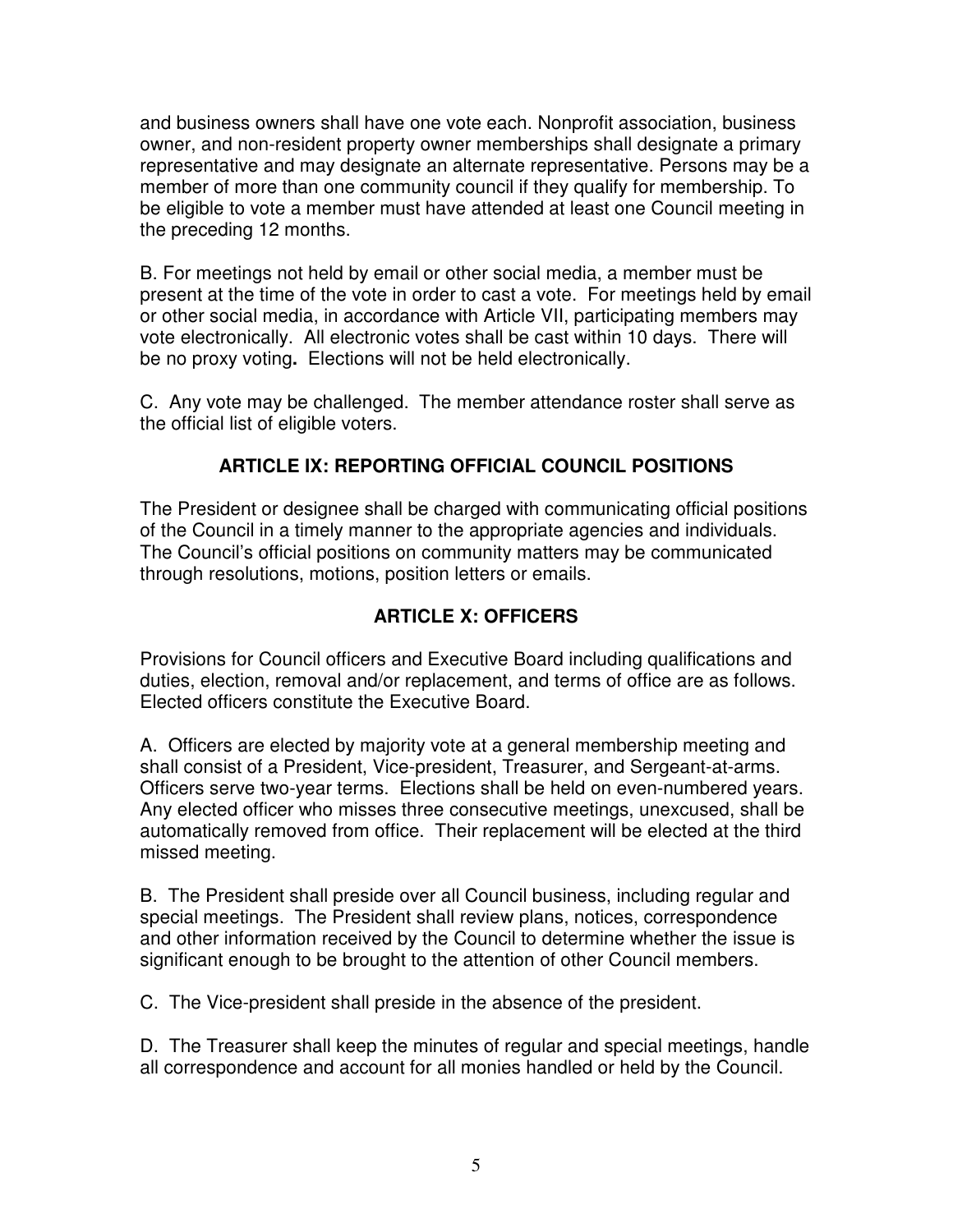and business owners shall have one vote each. Nonprofit association, business owner, and non-resident property owner memberships shall designate a primary representative and may designate an alternate representative. Persons may be a member of more than one community council if they qualify for membership. To be eligible to vote a member must have attended at least one Council meeting in the preceding 12 months.

B. For meetings not held by email or other social media, a member must be present at the time of the vote in order to cast a vote. For meetings held by email or other social media, in accordance with Article VII, participating members may vote electronically. All electronic votes shall be cast within 10 days. There will be no proxy voting**.** Elections will not be held electronically.

C. Any vote may be challenged. The member attendance roster shall serve as the official list of eligible voters.

# **ARTICLE IX: REPORTING OFFICIAL COUNCIL POSITIONS**

The President or designee shall be charged with communicating official positions of the Council in a timely manner to the appropriate agencies and individuals. The Council's official positions on community matters may be communicated through resolutions, motions, position letters or emails.

# **ARTICLE X: OFFICERS**

Provisions for Council officers and Executive Board including qualifications and duties, election, removal and/or replacement, and terms of office are as follows. Elected officers constitute the Executive Board.

A. Officers are elected by majority vote at a general membership meeting and shall consist of a President, Vice-president, Treasurer, and Sergeant-at-arms. Officers serve two-year terms. Elections shall be held on even-numbered years. Any elected officer who misses three consecutive meetings, unexcused, shall be automatically removed from office. Their replacement will be elected at the third missed meeting.

B. The President shall preside over all Council business, including regular and special meetings. The President shall review plans, notices, correspondence and other information received by the Council to determine whether the issue is significant enough to be brought to the attention of other Council members.

C. The Vice-president shall preside in the absence of the president.

D. The Treasurer shall keep the minutes of regular and special meetings, handle all correspondence and account for all monies handled or held by the Council.